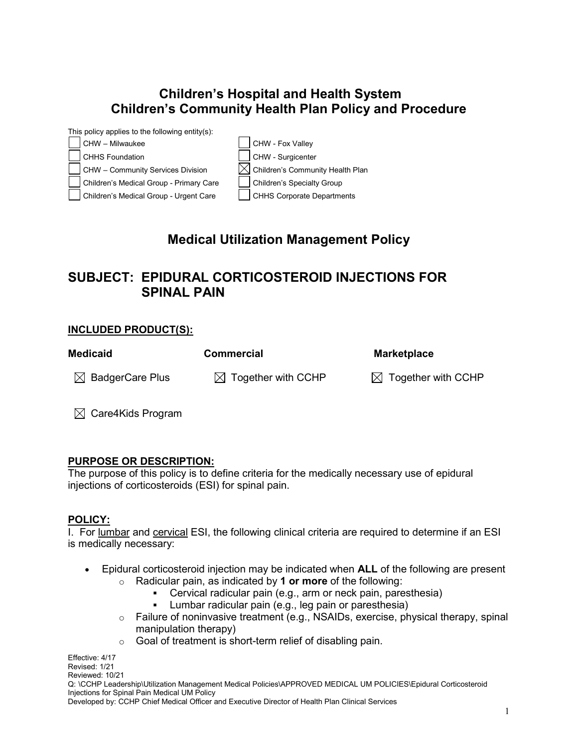# **Children's Hospital and Health System Children's Community Health Plan Policy and Procedure**



# **Medical Utilization Management Policy**

# **SUBJECT: EPIDURAL CORTICOSTEROID INJECTIONS FOR SPINAL PAIN**

#### **INCLUDED PRODUCT(S):**

| <b>Medicaid</b>             | <b>Commercial</b>              | <b>Marketplace</b>             |
|-----------------------------|--------------------------------|--------------------------------|
| $\boxtimes$ BadgerCare Plus | $\boxtimes$ Together with CCHP | $\boxtimes$ Together with CCHP |
|                             |                                |                                |

 $\boxtimes$  Care4Kids Program

#### **PURPOSE OR DESCRIPTION:**

The purpose of this policy is to define criteria for the medically necessary use of epidural injections of corticosteroids (ESI) for spinal pain.

#### **POLICY:**

I. For lumbar and cervical ESI, the following clinical criteria are required to determine if an ESI is medically necessary:

- Epidural corticosteroid injection may be indicated when **ALL** of the following are present o Radicular pain, as indicated by **1 or more** of the following:
	-
	- Cervical radicular pain (e.g., arm or neck pain, paresthesia)<br>Lumbar radicular pain (e.g., leg pain or paresthesia) Lumbar radicular pain (e.g., leg pain or paresthesia)
	- o Failure of noninvasive treatment (e.g., NSAIDs, exercise, physical therapy, spinal manipulation therapy)
	- $\circ$  Goal of treatment is short-term relief of disabling pain.

Effective: 4/17 Revised: 1/21 Reviewed: 10/21

Q: \CCHP Leadership\Utilization Management Medical Policies\APPROVED MEDICAL UM POLICIES\Epidural Corticosteroid Injections for Spinal Pain Medical UM Policy

Developed by: CCHP Chief Medical Officer and Executive Director of Health Plan Clinical Services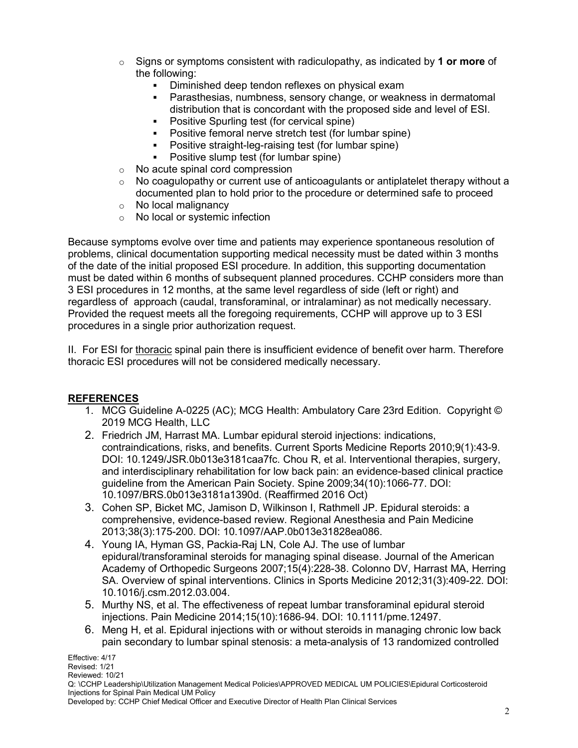- o Signs or symptoms consistent with radiculopathy, as indicated by **1 or more** of the following:
	- Diminished deep tendon reflexes on physical exam
	- Parasthesias, numbness, sensory change, or weakness in dermatomal distribution that is concordant with the proposed side and level of ESI.
	- Positive Spurling test (for cervical spine)
	- Positive femoral nerve stretch test (for lumbar spine)
	- Positive straight-leg-raising test (for lumbar spine)
	- Positive slump test (for lumbar spine)
- o No acute spinal cord compression
- $\circ$  No coagulopathy or current use of anticoagulants or antiplatelet therapy without a documented plan to hold prior to the procedure or determined safe to proceed
- ⊙ No local malignancy<br>○ No local or systemic
- No local or systemic infection

Because symptoms evolve over time and patients may experience spontaneous resolution of problems, clinical documentation supporting medical necessity must be dated within 3 months of the date of the initial proposed ESI procedure. In addition, this supporting documentation must be dated within 6 months of subsequent planned procedures. CCHP considers more than 3 ESI procedures in 12 months, at the same level regardless of side (left or right) and regardless of approach (caudal, transforaminal, or intralaminar) as not medically necessary. Provided the request meets all the foregoing requirements, CCHP will approve up to 3 ESI procedures in a single prior authorization request.

II. For ESI for thoracic spinal pain there is insufficient evidence of benefit over harm. Therefore thoracic ESI procedures will not be considered medically necessary.

### **REFERENCES**

- 1. MCG Guideline A-0225 (AC); MCG Health: Ambulatory Care 23rd Edition. Copyright © 2019 MCG Health, LLC
- 2. Friedrich JM, Harrast MA. Lumbar epidural steroid injections: indications, contraindications, risks, and benefits. Current Sports Medicine Reports 2010;9(1):43-9. DOI: 10.1249/JSR.0b013e3181caa7fc. Chou R, et al. Interventional therapies, surgery, and interdisciplinary rehabilitation for low back pain: an evidence-based clinical practice guideline from the American Pain Society. Spine 2009;34(10):1066-77. DOI: 10.1097/BRS.0b013e3181a1390d. (Reaffirmed 2016 Oct)
- 3. Cohen SP, Bicket MC, Jamison D, Wilkinson I, Rathmell JP. Epidural steroids: a comprehensive, evidence-based review. Regional Anesthesia and Pain Medicine 2013;38(3):175-200. DOI: 10.1097/AAP.0b013e31828ea086.
- 4. Young IA, Hyman GS, Packia-Raj LN, Cole AJ. The use of lumbar epidural/transforaminal steroids for managing spinal disease. Journal of the American Academy of Orthopedic Surgeons 2007;15(4):228-38. Colonno DV, Harrast MA, Herring SA. Overview of spinal interventions. Clinics in Sports Medicine 2012;31(3):409-22. DOI: 10.1016/j.csm.2012.03.004.
- 5. Murthy NS, et al. The effectiveness of repeat lumbar transforaminal epidural steroid injections. Pain Medicine 2014;15(10):1686-94. DOI: 10.1111/pme.12497.
- 6. Meng H, et al. Epidural injections with or without steroids in managing chronic low back pain secondary to lumbar spinal stenosis: a meta-analysis of 13 randomized controlled

Effective: 4/17 Revised: 1/21 Reviewed: 10/21 Q: \CCHP Leadership\Utilization Management Medical Policies\APPROVED MEDICAL UM POLICIES\Epidural Corticosteroid Injections for Spinal Pain Medical UM Policy

Developed by: CCHP Chief Medical Officer and Executive Director of Health Plan Clinical Services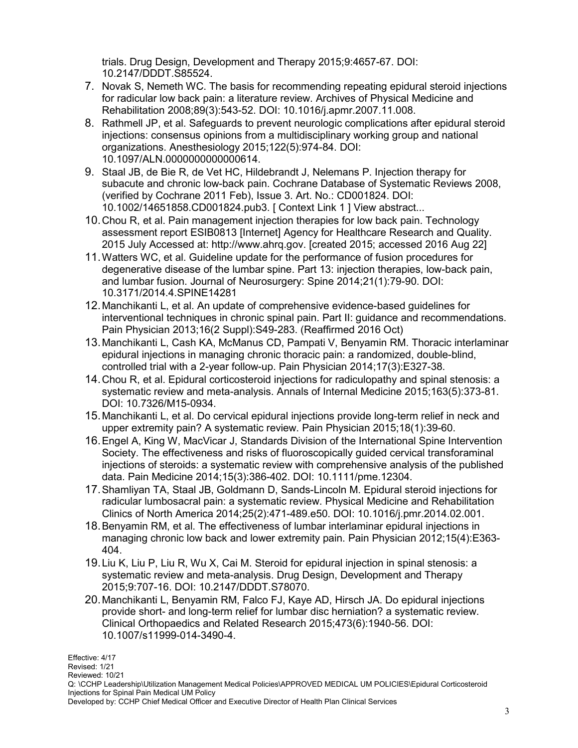trials. Drug Design, Development and Therapy 2015;9:4657-67. DOI: 10.2147/DDDT.S85524.

- 7. Novak S, Nemeth WC. The basis for recommending repeating epidural steroid injections for radicular low back pain: a literature review. Archives of Physical Medicine and Rehabilitation 2008;89(3):543-52. DOI: 10.1016/j.apmr.2007.11.008.
- 8. Rathmell JP, et al. Safeguards to prevent neurologic complications after epidural steroid injections: consensus opinions from a multidisciplinary working group and national organizations. Anesthesiology 2015;122(5):974-84. DOI: 10.1097/ALN.0000000000000614.
- 9. Staal JB, de Bie R, de Vet HC, Hildebrandt J, Nelemans P. Injection therapy for subacute and chronic low-back pain. Cochrane Database of Systematic Reviews 2008, (verified by Cochrane 2011 Feb), Issue 3. Art. No.: CD001824. DOI: 10.1002/14651858.CD001824.pub3. [ Context Link 1 ] View abstract...
- 10.Chou R, et al. Pain management injection therapies for low back pain. Technology assessment report ESIB0813 [Internet] Agency for Healthcare Research and Quality. 2015 July Accessed at: http://www.ahrq.gov. [created 2015; accessed 2016 Aug 22]
- 11.Watters WC, et al. Guideline update for the performance of fusion procedures for degenerative disease of the lumbar spine. Part 13: injection therapies, low-back pain, and lumbar fusion. Journal of Neurosurgery: Spine 2014;21(1):79-90. DOI: 10.3171/2014.4.SPINE14281
- 12.Manchikanti L, et al. An update of comprehensive evidence-based guidelines for interventional techniques in chronic spinal pain. Part II: guidance and recommendations. Pain Physician 2013;16(2 Suppl):S49-283. (Reaffirmed 2016 Oct)
- 13.Manchikanti L, Cash KA, McManus CD, Pampati V, Benyamin RM. Thoracic interlaminar epidural injections in managing chronic thoracic pain: a randomized, double-blind, controlled trial with a 2-year follow-up. Pain Physician 2014;17(3):E327-38.
- 14.Chou R, et al. Epidural corticosteroid injections for radiculopathy and spinal stenosis: a systematic review and meta-analysis. Annals of Internal Medicine 2015;163(5):373-81. DOI: 10.7326/M15-0934.
- 15.Manchikanti L, et al. Do cervical epidural injections provide long-term relief in neck and upper extremity pain? A systematic review. Pain Physician 2015;18(1):39-60.
- 16.Engel A, King W, MacVicar J, Standards Division of the International Spine Intervention Society. The effectiveness and risks of fluoroscopically guided cervical transforaminal injections of steroids: a systematic review with comprehensive analysis of the published data. Pain Medicine 2014;15(3):386-402. DOI: 10.1111/pme.12304.
- 17.Shamliyan TA, Staal JB, Goldmann D, Sands-Lincoln M. Epidural steroid injections for radicular lumbosacral pain: a systematic review. Physical Medicine and Rehabilitation Clinics of North America 2014;25(2):471-489.e50. DOI: 10.1016/j.pmr.2014.02.001.
- 18.Benyamin RM, et al. The effectiveness of lumbar interlaminar epidural injections in managing chronic low back and lower extremity pain. Pain Physician 2012;15(4):E363- 404.
- 19.Liu K, Liu P, Liu R, Wu X, Cai M. Steroid for epidural injection in spinal stenosis: a systematic review and meta-analysis. Drug Design, Development and Therapy 2015;9:707-16. DOI: 10.2147/DDDT.S78070.
- 20.Manchikanti L, Benyamin RM, Falco FJ, Kaye AD, Hirsch JA. Do epidural injections provide short- and long-term relief for lumbar disc herniation? a systematic review. Clinical Orthopaedics and Related Research 2015;473(6):1940-56. DOI: 10.1007/s11999-014-3490-4.

Effective: 4/17 Revised: 1/21 Reviewed: 10/21 Q: \CCHP Leadership\Utilization Management Medical Policies\APPROVED MEDICAL UM POLICIES\Epidural Corticosteroid Injections for Spinal Pain Medical UM Policy

Developed by: CCHP Chief Medical Officer and Executive Director of Health Plan Clinical Services